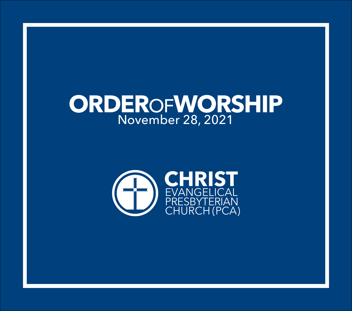# **ORDER**OF**WORSHIP** November 28, 2021

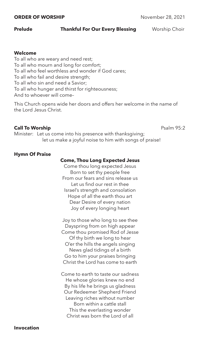#### **ORDER OF WORSHIP** November 28, 2021

# **Prelude Thankful For Our Every Blessing Worship Choir**

# **Welcome**

To all who are weary and need rest; To all who mourn and long for comfort; To all who feel worthless and wonder if God cares; To all who fail and desire strength; To all who sin and need a Savior; To all who hunger and thirst for righteousness; And to whoever will come–

This Church opens wide her doors and offers her welcome in the name of the Lord Jesus Christ.

# **Call To Worship Call To Worship Psalm 95:2**

Minister: Let us come into his presence with thanksgiving; let us make a joyful noise to him with songs of praise!

# **Hymn Of Praise**

# **Come, Thou Long Expected Jesus**

Come thou long expected Jesus Born to set thy people free From our fears and sins release us Let us find our rest in thee Israel's strength and consolation Hope of all the earth thou art Dear Desire of every nation Joy of every longing heart

Joy to those who long to see thee Dayspring from on high appear Come thou promised Rod of Jesse Of thy birth we long to hear O'er the hills the angels singing News glad tidings of a birth Go to him your praises bringing Christ the Lord has come to earth

Come to earth to taste our sadness He whose glories knew no end By his life he brings us gladness Our Redeemer Shepherd Friend Leaving riches without number Born within a cattle stall This the everlasting wonder Christ was born the Lord of all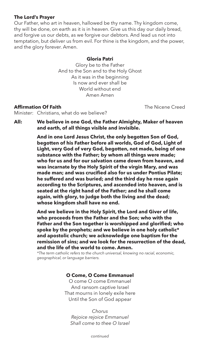# **The Lord's Prayer**

Our Father, who art in heaven, hallowed be thy name. Thy kingdom come, thy will be done, on earth as it is in heaven. Give us this day our daily bread, and forgive us our debts, as we forgive our debtors. And lead us not into temptation, but deliver us from evil. For thine is the kingdom, and the power, and the glory forever. Amen.

#### **Gloria Patri**

Glory be to the Father And to the Son and to the Holy Ghost As it was in the beginning Is now and ever shall be World without end Amen Amen

# **Affirmation Of Faith** The Nicene Creed

Minister: Christians, what do we believe?

**All: We believe in one God, the Father Almighty, Maker of heaven and earth, of all things visible and invisible.**

> **And in one Lord Jesus Christ, the only begotten Son of God, begotten of his Father before all worlds, God of God, Light of Light, very God of very God, begotten, not made, being of one substance with the Father; by whom all things were made; who for us and for our salvation came down from heaven, and was incarnate by the Holy Spirit of the virgin Mary, and was made man; and was crucified also for us under Pontius Pilate; he suffered and was buried; and the third day he rose again according to the Scriptures, and ascended into heaven, and is seated at the right hand of the Father; and he shall come again, with glory, to judge both the living and the dead; whose kingdom shall have no end.**

> **And we believe in the Holy Spirit, the Lord and Giver of life, who proceeds from the Father and the Son; who with the Father and the Son together is worshipped and glorified; who spoke by the prophets; and we believe in one holy catholic\* and apostolic church; we acknowledge one baptism for the remission of sins; and we look for the resurrection of the dead, and the life of the world to come. Amen.**

*\*The term catholic refers to the church universal, knowing no racial, economic, geographical, or language barriers.*

# **O Come, O Come Emmanuel**

O come O come Emmanuel And ransom captive Israel That mourns in lonely exile here Until the Son of God appear

*Chorus Rejoice rejoice Emmanuel Shall come to thee O Israel*

*continued*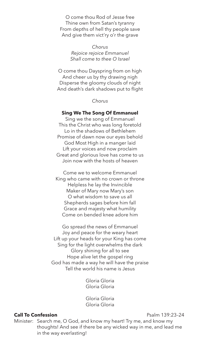O come thou Rod of Jesse free Thine own from Satan's tyranny From depths of hell thy people save And give them vict'ry o'r the grave

> *Chorus Rejoice rejoice Emmanuel Shall come to thee O Israel*

O come thou Dayspring from on high And cheer us by thy drawing nigh Disperse the gloomy clouds of night And death's dark shadows put to flight

#### *Chorus*

#### **Sing We The Song Of Emmanuel**

Sing we the song of Emmanuel This the Christ who was long foretold Lo in the shadows of Bethlehem Promise of dawn now our eyes behold God Most High in a manger laid Lift your voices and now proclaim Great and glorious love has come to us Join now with the hosts of heaven

Come we to welcome Emmanuel King who came with no crown or throne Helpless he lay the Invincible Maker of Mary now Mary's son O what wisdom to save us all Shepherds sages before him fall Grace and majesty what humility Come on bended knee adore him

Go spread the news of Emmanuel Joy and peace for the weary heart Lift up your heads for your King has come Sing for the light overwhelms the dark Glory shining for all to see Hope alive let the gospel ring God has made a way he will have the praise Tell the world his name is Jesus

> Gloria Gloria Gloria Gloria

> Gloria Gloria Gloria Gloria

# **Call To Confession Call To Confession**

Minister: Search me, O God, and know my heart! Try me, and know my thoughts! And see if there be any wicked way in me, and lead me in the way everlasting!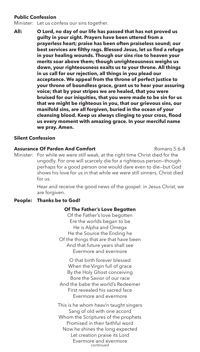# **Public Confession**

Minister: Let us confess our sins together.

**All: O Lord, no day of our life has passed that has not proved us guilty in your sight. Prayers have been uttered from a prayerless heart; praise has been often praiseless sound; our best services are filthy rags. Blessed Jesus, let us find a refuge in your healing wounds. Though our sins rise to heaven your merits soar above them; though unrighteousness weighs us down, your righteousness exalts us to your throne. All things in us call for our rejection, all things in you plead our acceptance. We appeal from the throne of perfect justice to your throne of boundless grace, grant us to hear your assuring voice; that by your stripes we are healed, that you were bruised for our iniquities, that you were made to be sin for us that we might be righteous in you, that our grievous sins, our manifold sins, are all forgiven, buried in the ocean of your cleansing blood. Keep us always clinging to your cross, flood us every moment with amazing grace. In your merciful name we pray. Amen.**

# **Silent Confession**

## **Assurance Of Pardon And Comfort Romans 5:6-8** Romans 5:6-8

Minister: For while we were still weak, at the right time Christ died for the ungodly. For one will scarcely die for a righteous person—though perhaps for a good person one would dare even to die—but God shows his love for us in that while we were still sinners, Christ died for us.

> Hear and receive the good news of the gospel: in Jesus Christ, we are forgiven.

## **People: Thanks be to God!**

## **Of The Father's Love Begotten**

Of the Father's love begotten Ere the worlds began to be He is Alpha and Omega He the Source the Ending he Of the things that are that have been And that future years shall see Evermore and evermore

O that birth forever blessed When the Virgin full of grace By the Holy Ghost conceiving Bore the Savior of our race And the babe the world's Redeemer First revealed his sacred face Evermore and evermore

This is he whom heav'n taught singers Sang of old with one accord Whom the Scriptures of the prophets Promised in their faithful word Now he shines the long expected Let creation praise its Lord Evermore and evermore *continued*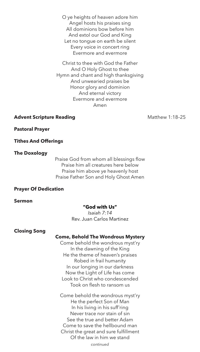O ye heights of heaven adore him Angel hosts his praises sing All dominions bow before him And extol our God and King Let no tongue on earth be silent Every voice in concert ring Evermore and evermore

Christ to thee with God the Father And O Holy Ghost to thee Hymn and chant and high thanksgiving And unwearied praises be Honor glory and dominion And eternal victory Evermore and evermore Amen

# Advent Scripture Reading **Advent Scripture Reading Matthew 1:18-25**

#### **Pastoral Prayer**

#### **Tithes And Offerings**

#### **The Doxology**

Praise God from whom all blessings flow Praise him all creatures here below Praise him above ye heavenly host Praise Father Son and Holy Ghost Amen

#### **Prayer Of Dedication**

**Sermon** 

#### **"God with Us"**

*Isaiah 7:14* Rev. Juan Carlos Martinez

#### **Closing Song**

## **Come, Behold The Wondrous Mystery**

Come behold the wondrous myst'ry In the dawning of the King He the theme of heaven's praises Robed in frail humanity In our longing in our darkness Now the Light of Life has come Look to Christ who condescended Took on flesh to ransom us

Come behold the wondrous myst'ry He the perfect Son of Man In his living in his suff'ring Never trace nor stain of sin See the true and better Adam Come to save the hellbound man Christ the great and sure fulfillment Of the law in him we stand

*continued*